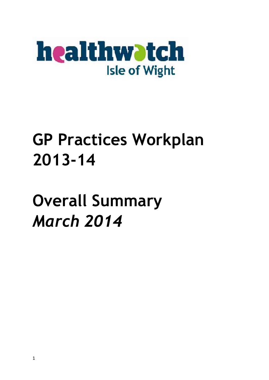

# **GP Practices Workplan 2013-14**

**Overall Summary** *March 2014*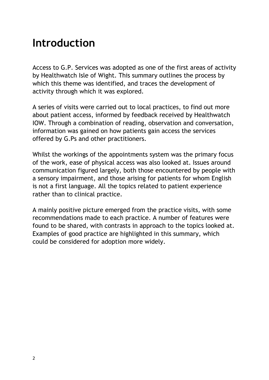### **Introduction**

Access to G.P. Services was adopted as one of the first areas of activity by Healthwatch Isle of Wight. This summary outlines the process by which this theme was identified, and traces the development of activity through which it was explored.

A series of visits were carried out to local practices, to find out more about patient access, informed by feedback received by Healthwatch IOW. Through a combination of reading, observation and conversation, information was gained on how patients gain access the services offered by G.Ps and other practitioners.

Whilst the workings of the appointments system was the primary focus of the work, ease of physical access was also looked at. Issues around communication figured largely, both those encountered by people with a sensory impairment, and those arising for patients for whom English is not a first language. All the topics related to patient experience rather than to clinical practice.

A mainly positive picture emerged from the practice visits, with some recommendations made to each practice. A number of features were found to be shared, with contrasts in approach to the topics looked at. Examples of good practice are highlighted in this summary, which could be considered for adoption more widely.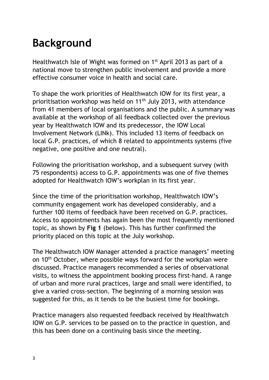# **Background**

Healthwatch Isle of Wight was formed on 1<sup>st</sup> April 2013 as part of a national move to strengthen public involvement and provide a more effective consumer voice in health and social care.

To shape the work priorities of Healthwatch IOW for its first year, a prioritisation workshop was held on 11<sup>th</sup> July 2013, with attendance from 41 members of local organisations and the public. A summary was available at the workshop of all feedback collected over the previous year by Healthwatch IOW and its predecessor, the IOW Local Involvement Network (LINk). This included 13 items of feedback on local G.P. practices, of which 8 related to appointments systems (five negative, one positive and one neutral).

Following the prioritisation workshop, and a subsequent survey (with 75 respondents) access to G.P. appointments was one of five themes adopted for Healthwatch IOW's workplan in its first year.

Since the time of the prioritisation workshop, Healthwatch IOW's community engagement work has developed considerably, and a further 100 items of feedback have been received on G.P. practices. Access to appointments has again been the most frequently mentioned topic, as shown by **Fig 1** (below). This has further confirmed the priority placed on this topic at the July workshop.

The Healthwatch IOW Manager attended a practice managers' meeting on 10<sup>th</sup> October, where possible ways forward for the workplan were discussed. Practice managers recommended a series of observational visits, to witness the appointment booking process first-hand. A range of urban and more rural practices, large and small were identified, to give a varied cross-section. The beginning of a morning session was suggested for this, as it tends to be the busiest time for bookings.

Practice managers also requested feedback received by Healthwatch IOW on G.P. services to be passed on to the practice in question, and this has been done on a continuing basis since the meeting.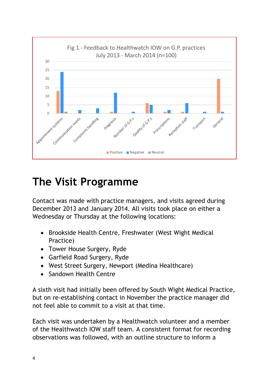

#### **The Visit Programme**

Contact was made with practice managers, and visits agreed during December 2013 and January 2014. All visits took place on either a Wednesday or Thursday at the following locations:

- Brookside Health Centre, Freshwater (West Wight Medical Practice)
- Tower House Surgery, Ryde
- Garfield Road Surgery, Ryde
- West Street Surgery, Newport (Medina Healthcare)
- Sandown Health Centre

A sixth visit had initially been offered by South Wight Medical Practice, but on re-establishing contact in November the practice manager did not feel able to commit to a visit at that time.

Each visit was undertaken by a Healthwatch volunteer and a member of the Healthwatch IOW staff team. A consistent format for recording observations was followed, with an outline structure to inform a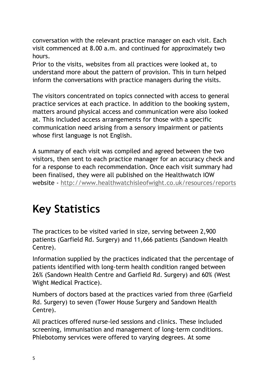conversation with the relevant practice manager on each visit. Each visit commenced at 8.00 a.m. and continued for approximately two hours.

Prior to the visits, websites from all practices were looked at, to understand more about the pattern of provision. This in turn helped inform the conversations with practice managers during the visits.

The visitors concentrated on topics connected with access to general practice services at each practice. In addition to the booking system, matters around physical access and communication were also looked at. This included access arrangements for those with a specific communication need arising from a sensory impairment or patients whose first language is not English.

A summary of each visit was compiled and agreed between the two visitors, then sent to each practice manager for an accuracy check and for a response to each recommendation. Once each visit summary had been finalised, they were all published on the Healthwatch IOW website - <http://www.healthwatchisleofwight.co.uk/resources/reports>

## **Key Statistics**

The practices to be visited varied in size, serving between 2,900 patients (Garfield Rd. Surgery) and 11,666 patients (Sandown Health Centre).

Information supplied by the practices indicated that the percentage of patients identified with long-term health condition ranged between 26% (Sandown Health Centre and Garfield Rd. Surgery) and 60% (West Wight Medical Practice).

Numbers of doctors based at the practices varied from three (Garfield Rd. Surgery) to seven (Tower House Surgery and Sandown Health Centre).

All practices offered nurse-led sessions and clinics. These included screening, immunisation and management of long-term conditions. Phlebotomy services were offered to varying degrees. At some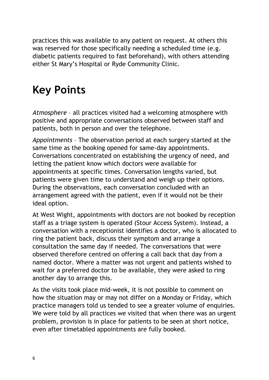practices this was available to any patient on request. At others this was reserved for those specifically needing a scheduled time (e.g. diabetic patients required to fast beforehand), with others attending either St Mary's Hospital or Ryde Community Clinic.

## **Key Points**

*Atmosphere* – all practices visited had a welcoming atmosphere with positive and appropriate conversations observed between staff and patients, both in person and over the telephone.

*Appointments* – The observation period at each surgery started at the same time as the booking opened for same-day appointments. Conversations concentrated on establishing the urgency of need, and letting the patient know which doctors were available for appointments at specific times. Conversation lengths varied, but patients were given time to understand and weigh up their options. During the observations, each conversation concluded with an arrangement agreed with the patient, even if it would not be their ideal option.

At West Wight, appointments with doctors are not booked by reception staff as a triage system is operated (Stour Access System). Instead, a conversation with a receptionist identifies a doctor, who is allocated to ring the patient back, discuss their symptom and arrange a consultation the same day if needed. The conversations that were observed therefore centred on offering a call back that day from a named doctor. Where a matter was not urgent and patients wished to wait for a preferred doctor to be available, they were asked to ring another day to arrange this.

As the visits took place mid-week, it is not possible to comment on how the situation may or may not differ on a Monday or Friday, which practice managers told us tended to see a greater volume of enquiries. We were told by all practices we visited that when there was an urgent problem, provision is in place for patients to be seen at short notice, even after timetabled appointments are fully booked.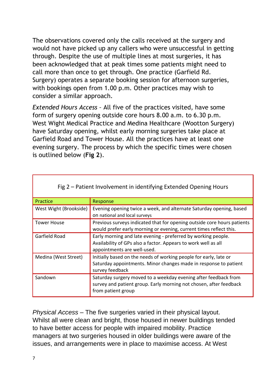The observations covered only the calls received at the surgery and would not have picked up any callers who were unsuccessful in getting through. Despite the use of multiple lines at most surgeries, it has been acknowledged that at peak times some patients might need to call more than once to get through. One practice (Garfield Rd. Surgery) operates a separate booking session for afternoon surgeries, with bookings open from 1.00 p.m. Other practices may wish to consider a similar approach.

*Extended Hours Access –* All five of the practices visited, have some form of surgery opening outside core hours 8.00 a.m. to 6.30 p.m. West Wight Medical Practice and Medina Healthcare (Wootton Surgery) have Saturday opening, whilst early morning surgeries take place at Garfield Road and Tower House. All the practices have at least one evening surgery. The process by which the specific times were chosen is outlined below (**Fig 2**).

| Fig 2 – Patient Involvement in identifying Extended Opening Hours |                                                                                                                                                                |  |  |
|-------------------------------------------------------------------|----------------------------------------------------------------------------------------------------------------------------------------------------------------|--|--|
| Practice                                                          | Response                                                                                                                                                       |  |  |
| West Wight (Brookside)                                            | Evening opening twice a week, and alternate Saturday opening, based<br>on national and local surveys                                                           |  |  |
| <b>Tower House</b>                                                | Previous surveys indicated that for opening outside core hours patients<br>would prefer early morning or evening, current times reflect this.                  |  |  |
| Garfield Road                                                     | Early morning and late evening - preferred by working people.<br>Availability of GPs also a factor. Appears to work well as all<br>appointments are well-used. |  |  |
| Medina (West Street)                                              | Initially based on the needs of working people for early, late or<br>Saturday appointments. Minor changes made in response to patient<br>survey feedback       |  |  |
| Sandown                                                           | Saturday surgery moved to a weekday evening after feedback from<br>survey and patient group. Early morning not chosen, after feedback<br>from patient group    |  |  |

Fig 2 – Patient Involvement in identifying Extended Opening Hours

*Physical Access* – The five surgeries varied in their physical layout. Whilst all were clean and bright, those housed in newer buildings tended to have better access for people with impaired mobility. Practice managers at two surgeries housed in older buildings were aware of the issues, and arrangements were in place to maximise access. At West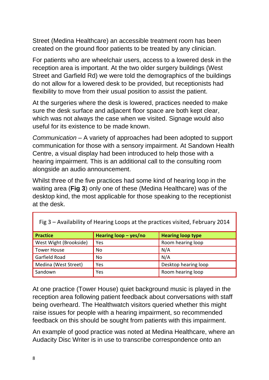Street (Medina Healthcare) an accessible treatment room has been created on the ground floor patients to be treated by any clinician.

For patients who are wheelchair users, access to a lowered desk in the reception area is important. At the two older surgery buildings (West Street and Garfield Rd) we were told the demographics of the buildings do not allow for a lowered desk to be provided, but receptionists had flexibility to move from their usual position to assist the patient.

At the surgeries where the desk is lowered, practices needed to make sure the desk surface and adjacent floor space are both kept clear, which was not always the case when we visited. Signage would also useful for its existence to be made known.

*Communication* – A variety of approaches had been adopted to support communication for those with a sensory impairment. At Sandown Health Centre, a visual display had been introduced to help those with a hearing impairment. This is an additional call to the consulting room alongside an audio announcement.

Whilst three of the five practices had some kind of hearing loop in the waiting area (**Fig 3**) only one of these (Medina Healthcare) was of the desktop kind, the most applicable for those speaking to the receptionist at the desk.

| <b>Practice</b>        | Hearing $loop - yes/no$ | <b>Hearing loop type</b> |  |
|------------------------|-------------------------|--------------------------|--|
| West Wight (Brookside) | Yes                     | Room hearing loop        |  |
| <b>Tower House</b>     | No                      | N/A                      |  |
| Garfield Road          | No                      | N/A                      |  |
| Medina (West Street)   | Yes                     | Desktop hearing loop     |  |
| Sandown                | Yes                     | Room hearing loop        |  |

Fig 3 – Availability of Hearing Loops at the practices visited, February 2014

At one practice (Tower House) quiet background music is played in the reception area following patient feedback about conversations with staff being overheard. The Healthwatch visitors queried whether this might raise issues for people with a hearing impairment, so recommended feedback on this should be sought from patients with this impairment.

An example of good practice was noted at Medina Healthcare, where an Audacity Disc Writer is in use to transcribe correspondence onto an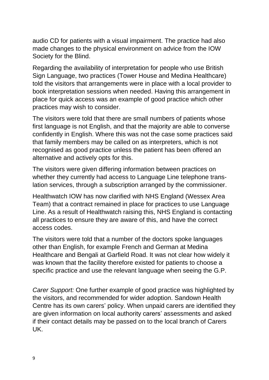audio CD for patients with a visual impairment. The practice had also made changes to the physical environment on advice from the IOW Society for the Blind.

Regarding the availability of interpretation for people who use British Sign Language, two practices (Tower House and Medina Healthcare) told the visitors that arrangements were in place with a local provider to book interpretation sessions when needed. Having this arrangement in place for quick access was an example of good practice which other practices may wish to consider.

The visitors were told that there are small numbers of patients whose first language is not English, and that the majority are able to converse confidently in English. Where this was not the case some practices said that family members may be called on as interpreters, which is not recognised as good practice unless the patient has been offered an alternative and actively opts for this.

The visitors were given differing information between practices on whether they currently had access to Language Line telephone translation services, through a subscription arranged by the commissioner.

Healthwatch IOW has now clarified with NHS England (Wessex Area Team) that a contract remained in place for practices to use Language Line. As a result of Healthwatch raising this, NHS England is contacting all practices to ensure they are aware of this, and have the correct access codes.

The visitors were told that a number of the doctors spoke languages other than English, for example French and German at Medina Healthcare and Bengali at Garfield Road. It was not clear how widely it was known that the facility therefore existed for patients to choose a specific practice and use the relevant language when seeing the G.P.

*Carer Support:* One further example of good practice was highlighted by the visitors, and recommended for wider adoption. Sandown Health Centre has its own carers' policy. When unpaid carers are identified they are given information on local authority carers' assessments and asked if their contact details may be passed on to the local branch of Carers UK.